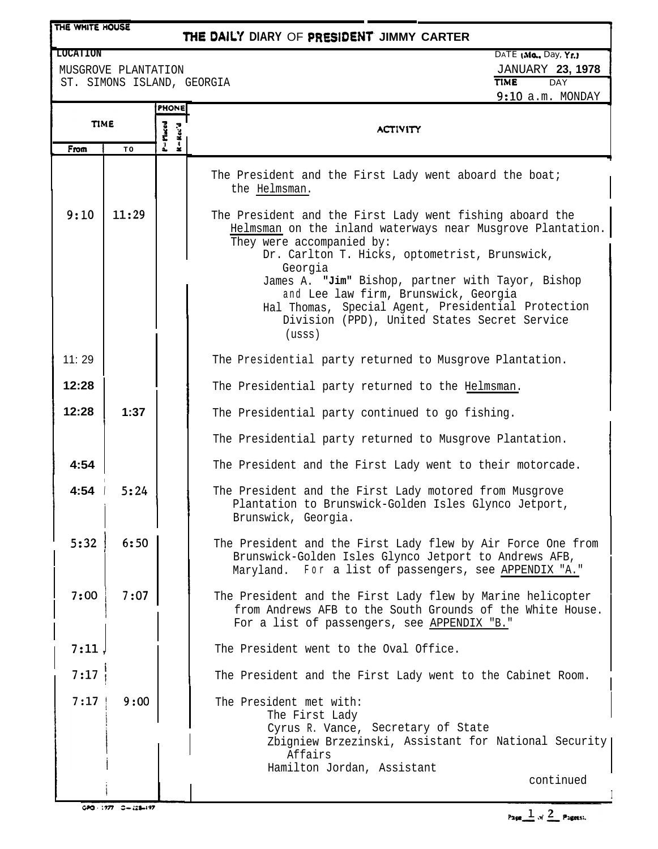## THE WHITE HOUSE

## **THE** *DAlL'f* **DIARY** OF PfiESIDENT. **JIMMY CARTER**

MUSGROVE PLANTATION **JANUARY 23, 1978**<br>
ST. SIMONS ISLAND, GEORGIA ST. SIMONS ISLAND, GEORGIA

| <b>TIME</b> | P=Maced | <b>ACTIVITY</b>                                                                                                                                                                                           |
|-------------|---------|-----------------------------------------------------------------------------------------------------------------------------------------------------------------------------------------------------------|
| TO          |         |                                                                                                                                                                                                           |
|             |         | The President and the First Lady went aboard the boat;<br>the Helmsman.                                                                                                                                   |
| 11:29       |         | The President and the First Lady went fishing aboard the<br>Helmsman on the inland waterways near Musgrove Plantation.<br>They were accompanied by:<br>Dr. Carlton T. Hicks, optometrist, Brunswick,      |
|             |         | Georgia                                                                                                                                                                                                   |
|             |         | James A. "Jim" Bishop, partner with Tayor, Bishop<br>and Lee law firm, Brunswick, Georgia<br>Hal Thomas, Special Agent, Presidential Protection<br>Division (PPD), United States Secret Service<br>(usss) |
|             |         | The Presidential party returned to Musgrove Plantation.                                                                                                                                                   |
|             |         | The Presidential party returned to the Helmsman.                                                                                                                                                          |
| 1:37        |         | The Presidential party continued to go fishing.                                                                                                                                                           |
|             |         | The Presidential party returned to Musgrove Plantation.                                                                                                                                                   |
|             |         | The President and the First Lady went to their motorcade.                                                                                                                                                 |
| 5:24        |         | The President and the First Lady motored from Musgrove<br>Plantation to Brunswick-Golden Isles Glynco Jetport,<br>Brunswick, Georgia.                                                                     |
| 6:50        |         | The President and the First Lady flew by Air Force One from<br>Brunswick-Golden Isles Glynco Jetport to Andrews AFB,<br>Maryland. For a list of passengers, see APPENDIX "A."                             |
| 7:07        |         | The President and the First Lady flew by Marine helicopter<br>from Andrews AFB to the South Grounds of the White House.<br>For a list of passengers, see APPENDIX "B."                                    |
|             |         | The President went to the Oval Office.                                                                                                                                                                    |
|             |         | The President and the First Lady went to the Cabinet Room.                                                                                                                                                |
| 9:00        |         | The President met with:<br>The First Lady<br>Cyrus R. Vance, Secretary of State<br>Zbigniew Brzezinski, Assistant for National Security<br>Affairs<br>Hamilton Jordan, Assistant<br>continued             |
|             |         |                                                                                                                                                                                                           |

Page  $\frac{1}{\omega}$  of  $\frac{2}{\omega}$  Pagess.